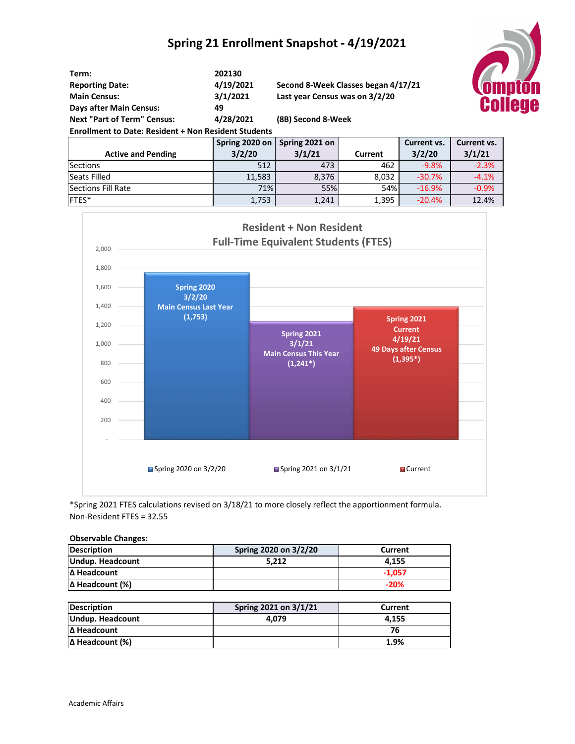## **Spring 21 Enrollment Snapshot - 4/19/2021**



| Term:                                                       | 202130    |                                     |  |   |
|-------------------------------------------------------------|-----------|-------------------------------------|--|---|
| <b>Reporting Date:</b>                                      | 4/19/2021 | Second 8-Week Classes began 4/17/21 |  |   |
| <b>Main Census:</b>                                         | 3/1/2021  | Last year Census was on 3/2/20      |  |   |
| <b>Days after Main Census:</b>                              | 49        |                                     |  |   |
| <b>Next "Part of Term" Census:</b>                          | 4/28/2021 | (8B) Second 8-Week                  |  |   |
| <b>Enrollment to Date: Resident + Non Resident Students</b> |           |                                     |  |   |
|                                                             |           | Caring 2020 on L. Caring 2021 on    |  | r |

|                           | Spring 2020 on | Spring 2021 on |            | Current vs. | Current vs. |
|---------------------------|----------------|----------------|------------|-------------|-------------|
| <b>Active and Pending</b> | 3/2/20         | 3/1/21         | Current    | 3/2/20      | 3/1/21      |
| <b>Sections</b>           | 512            | 473            | 462        | $-9.8%$     | $-2.3%$     |
| Seats Filled              | 11,583         | 8,376          | 8,032      | $-30.7%$    | $-4.1%$     |
| Sections Fill Rate        | 71%            | 55%            | <b>54%</b> | $-16.9%$    | $-0.9%$     |
| IFTES*                    | 1,753          | 1,241          | 1,395      | $-20.4%$    | 12.4%       |



\*Spring 2021 FTES calculations revised on 3/18/21 to more closely reflect the apportionment formula. Non-Resident FTES = 32.55

## **Observable Changes:**

| Description            | Spring 2020 on 3/2/20 | Current  |
|------------------------|-----------------------|----------|
| Undup. Headcount       | 5.212                 | 4.155    |
| Δ Headcount            |                       | $-1.057$ |
| $\Delta$ Headcount (%) |                       | $-20%$   |

| <b>Description</b>     | Spring 2021 on 3/1/21 | Current |
|------------------------|-----------------------|---------|
| Undup. Headcount       | 4.079                 | 4.155   |
| Δ Headcount            |                       | 76      |
| $\Delta$ Headcount (%) |                       | 1.9%    |